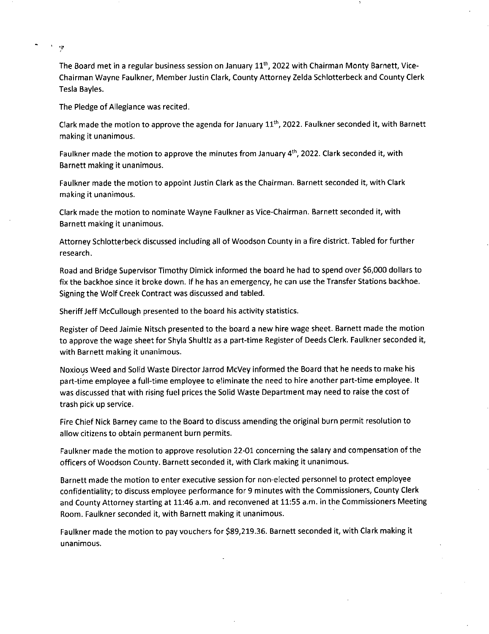The Board met in a regular business session on January 11<sup>th</sup>, 2022 with Chairman Monty Barnett, Vice-Chairman Wayne Faulkner, Member Justin Clark, County Attorney Zelda Schlotterbeck and County Clerk Tesla Bayles.

The Pledge of Allegiance was recited.

 $\gamma$ 

Clark made the motion to approve the agenda for January  $11<sup>th</sup>$ , 2022. Faulkner seconded it, with Barnett making it unanimous.

Faulkner made the motion to approve the minutes from January  $4<sup>th</sup>$ , 2022. Clark seconded it, with Barnett making it unanimous.

Faulkner made the motion to appoint Justin Clark as the Chairman. Barnett seconded it, with Clark making it unanimous.

Clark made the motion to nominate Wayne Faulkner as Vice-Chairman. Barnett seconded it, with Barnett making it unanimous.

Attorney Schlotterbeck discussed including all of Woodson County in a fire district. Tabled for further research.

Road and Bridge Supervisor Timothy Dimick informed the board he had to spend over \$6,000 dollars to fix the backhoe since it broke down. If he has an emergency, he can use the Transfer Stations backhoe. Signing the Wolf Creek Contract was discussed and tabled.

Sheriff Jeff McCullough presented to the board his activity statistics.

Register of Deed Jaimie Nitsch presented to the board a new hire wage sheet. Barnett made the motion to approve the wage sheet for Shyla Shultlz as a part-time Register of Deeds Clerk. Faulkner seconded it, with Barnett making it unanimous.

Noxious Weed and Solid Waste Director Jarrod McVey informed the Board that he needs to make his part-time employee a full-time employee to eliminate the need to hire another part-time employee. It was discussed that with rising fuel prices the Solid Waste Department may need to raise the cost of trash pick up service.

Fire Chief Nick Barney came to the Board to discuss amending the original burn permit resolution to allow citizens to obtain permanent burn permits.

Faulkner made the motion to approve resolution 22-01 concerning the salary and compensation of the officers of Woodson County. Barnett seconded it, with Clark making it unanimous.

Barnett made the motion to enter executive session for non-elected personnel to protect employee confidentiality; to discuss employee performance for 9 minutes with the Commissioners, County Clerk and County Attorney starting at 11:46 a.m. and reconvened at 11:55 a.m. in the Commissioners Meeting Room. Faulkner seconded it, with Barnett making it unanimous.

Faulkner made the motion to pay vouchers for \$89,219.36. Barnett seconded it, with Clark making it unanimous.